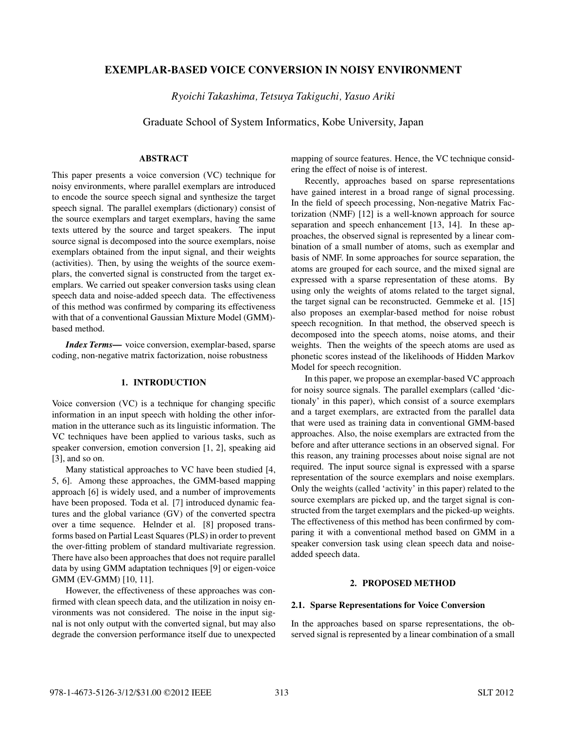# **EXEMPLAR-BASED VOICE CONVERSION IN NOISY ENVIRONMENT**

*Ryoichi Takashima, Tetsuya Takiguchi, Yasuo Ariki*

Graduate School of System Informatics, Kobe University, Japan

# **ABSTRACT**

This paper presents a voice conversion (VC) technique for noisy environments, where parallel exemplars are introduced to encode the source speech signal and synthesize the target speech signal. The parallel exemplars (dictionary) consist of the source exemplars and target exemplars, having the same texts uttered by the source and target speakers. The input source signal is decomposed into the source exemplars, noise exemplars obtained from the input signal, and their weights (activities). Then, by using the weights of the source exemplars, the converted signal is constructed from the target exemplars. We carried out speaker conversion tasks using clean speech data and noise-added speech data. The effectiveness of this method was confirmed by comparing its effectiveness with that of a conventional Gaussian Mixture Model (GMM) based method.

*Index Terms***—** voice conversion, exemplar-based, sparse coding, non-negative matrix factorization, noise robustness

#### **1. INTRODUCTION**

Voice conversion (VC) is a technique for changing specific information in an input speech with holding the other information in the utterance such as its linguistic information. The VC techniques have been applied to various tasks, such as speaker conversion, emotion conversion [1, 2], speaking aid [3], and so on.

Many statistical approaches to VC have been studied [4, 5, 6]. Among these approaches, the GMM-based mapping approach [6] is widely used, and a number of improvements have been proposed. Toda et al. [7] introduced dynamic features and the global variance (GV) of the converted spectra over a time sequence. Helnder et al. [8] proposed transforms based on Partial Least Squares (PLS) in order to prevent the over-fitting problem of standard multivariate regression. There have also been approaches that does not require parallel data by using GMM adaptation techniques [9] or eigen-voice GMM (EV-GMM) [10, 11].

However, the effectiveness of these approaches was confirmed with clean speech data, and the utilization in noisy environments was not considered. The noise in the input signal is not only output with the converted signal, but may also degrade the conversion performance itself due to unexpected mapping of source features. Hence, the VC technique considering the effect of noise is of interest.

Recently, approaches based on sparse representations have gained interest in a broad range of signal processing. In the field of speech processing, Non-negative Matrix Factorization (NMF) [12] is a well-known approach for source separation and speech enhancement [13, 14]. In these approaches, the observed signal is represented by a linear combination of a small number of atoms, such as exemplar and basis of NMF. In some approaches for source separation, the atoms are grouped for each source, and the mixed signal are expressed with a sparse representation of these atoms. By using only the weights of atoms related to the target signal, the target signal can be reconstructed. Gemmeke et al. [15] also proposes an exemplar-based method for noise robust speech recognition. In that method, the observed speech is decomposed into the speech atoms, noise atoms, and their weights. Then the weights of the speech atoms are used as phonetic scores instead of the likelihoods of Hidden Markov Model for speech recognition.

In this paper, we propose an exemplar-based VC approach for noisy source signals. The parallel exemplars (called 'dictionaly' in this paper), which consist of a source exemplars and a target exemplars, are extracted from the parallel data that were used as training data in conventional GMM-based approaches. Also, the noise exemplars are extracted from the before and after utterance sections in an observed signal. For this reason, any training processes about noise signal are not required. The input source signal is expressed with a sparse representation of the source exemplars and noise exemplars. Only the weights (called 'activity' in this paper) related to the source exemplars are picked up, and the target signal is constructed from the target exemplars and the picked-up weights. The effectiveness of this method has been confirmed by comparing it with a conventional method based on GMM in a speaker conversion task using clean speech data and noiseadded speech data.

# **2. PROPOSED METHOD**

## **2.1. Sparse Representations for Voice Conversion**

In the approaches based on sparse representations, the observed signal is represented by a linear combination of a small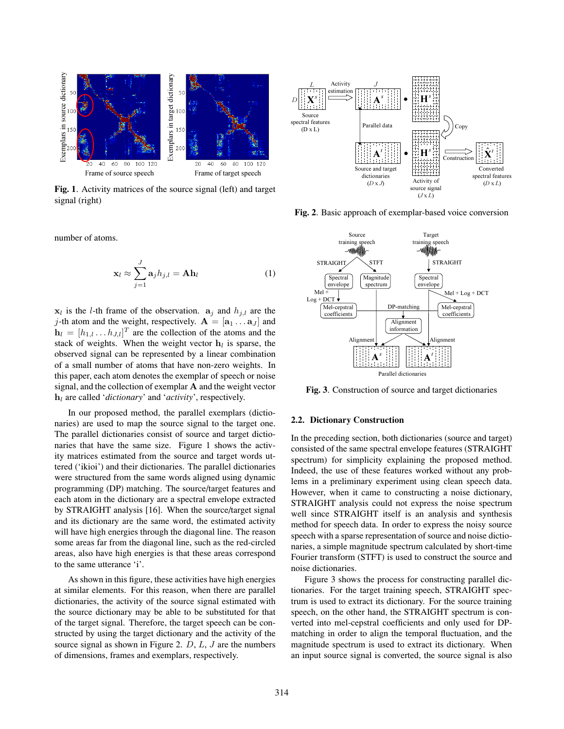

**Fig. 1**. Activity matrices of the source signal (left) and target signal (right)

number of atoms.

$$
\mathbf{x}_{l} \approx \sum_{j=1}^{J} \mathbf{a}_{j} h_{j,l} = \mathbf{A} \mathbf{h}_{l}
$$
 (1)

 $x_l$  is the *l*-th frame of the observation.  $a_j$  and  $h_{j,l}$  are the *j*-th atom and the weight, respectively.  $A = [\mathbf{a}_1 \dots \mathbf{a}_J]$  and  $h_l = [h_{1,l} \dots h_{J,l}]^T$  are the collection of the atoms and the stack of weights. When the weight vector  $h_l$  is sparse, the observed signal can be represented by a linear combination of a small number of atoms that have non-zero weights. In this paper, each atom denotes the exemplar of speech or noise signal, and the collection of exemplar **A** and the weight vector **h***<sup>l</sup>* are called '*dictionary*' and '*activity*', respectively.

In our proposed method, the parallel exemplars (dictionaries) are used to map the source signal to the target one. The parallel dictionaries consist of source and target dictionaries that have the same size. Figure 1 shows the activity matrices estimated from the source and target words uttered ('ikioi') and their dictionaries. The parallel dictionaries were structured from the same words aligned using dynamic programming (DP) matching. The source/target features and each atom in the dictionary are a spectral envelope extracted by STRAIGHT analysis [16]. When the source/target signal and its dictionary are the same word, the estimated activity will have high energies through the diagonal line. The reason some areas far from the diagonal line, such as the red-circled areas, also have high energies is that these areas correspond to the same utterance 'i'.

As shown in this figure, these activities have high energies at similar elements. For this reason, when there are parallel dictionaries, the activity of the source signal estimated with the source dictionary may be able to be substituted for that of the target signal. Therefore, the target speech can be constructed by using the target dictionary and the activity of the source signal as shown in Figure 2. *D*, *L*, *J* are the numbers of dimensions, frames and exemplars, respectively.



**Fig. 2**. Basic approach of exemplar-based voice conversion



**Fig. 3**. Construction of source and target dictionaries

## **2.2. Dictionary Construction**

In the preceding section, both dictionaries (source and target) consisted of the same spectral envelope features (STRAIGHT spectrum) for simplicity explaining the proposed method. Indeed, the use of these features worked without any problems in a preliminary experiment using clean speech data. However, when it came to constructing a noise dictionary, STRAIGHT analysis could not express the noise spectrum well since STRAIGHT itself is an analysis and synthesis method for speech data. In order to express the noisy source speech with a sparse representation of source and noise dictionaries, a simple magnitude spectrum calculated by short-time Fourier transform (STFT) is used to construct the source and noise dictionaries.

Figure 3 shows the process for constructing parallel dictionaries. For the target training speech, STRAIGHT spectrum is used to extract its dictionary. For the source training speech, on the other hand, the STRAIGHT spectrum is converted into mel-cepstral coefficients and only used for DPmatching in order to align the temporal fluctuation, and the magnitude spectrum is used to extract its dictionary. When an input source signal is converted, the source signal is also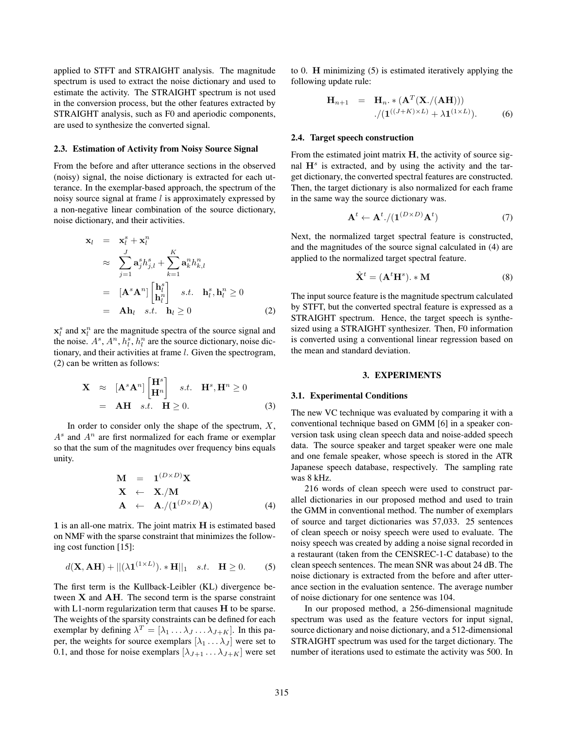applied to STFT and STRAIGHT analysis. The magnitude spectrum is used to extract the noise dictionary and used to estimate the activity. The STRAIGHT spectrum is not used in the conversion process, but the other features extracted by STRAIGHT analysis, such as F0 and aperiodic components, are used to synthesize the converted signal.

#### **2.3. Estimation of Activity from Noisy Source Signal**

From the before and after utterance sections in the observed (noisy) signal, the noise dictionary is extracted for each utterance. In the exemplar-based approach, the spectrum of the noisy source signal at frame *l* is approximately expressed by a non-negative linear combination of the source dictionary, noise dictionary, and their activities.

$$
\mathbf{x}_{l} = \mathbf{x}_{l}^{s} + \mathbf{x}_{l}^{n}
$$
\n
$$
\approx \sum_{j=1}^{J} \mathbf{a}_{j}^{s} h_{j,l}^{s} + \sum_{k=1}^{K} \mathbf{a}_{k}^{n} h_{k,l}^{n}
$$
\n
$$
= [\mathbf{A}^{s} \mathbf{A}^{n}] \begin{bmatrix} \mathbf{h}_{l}^{s} \\ \mathbf{h}_{l}^{n} \end{bmatrix} \quad s.t. \quad \mathbf{h}_{l}^{s}, \mathbf{h}_{l}^{n} \ge 0
$$
\n
$$
= \mathbf{A} \mathbf{h}_{l} \quad s.t. \quad \mathbf{h}_{l} \ge 0
$$
\n(2)

 $\mathbf{x}_l^s$  and  $\mathbf{x}_l^n$  are the magnitude spectra of the source signal and the noise.  $A^s$ ,  $A^n$ ,  $h_l^s$ ,  $h_l^n$  are the source dictionary, noise dictionary, and their activities at frame *l*. Given the spectrogram, (2) can be written as follows:

$$
\mathbf{X} \approx [\mathbf{A}^s \mathbf{A}^n] \begin{bmatrix} \mathbf{H}^s \\ \mathbf{H}^n \end{bmatrix} \quad s.t. \quad \mathbf{H}^s, \mathbf{H}^n \ge 0
$$
  
=  $\mathbf{A}\mathbf{H} \quad s.t. \quad \mathbf{H} \ge 0.$  (3)

In order to consider only the shape of the spectrum, *X*, *A<sup>s</sup>* and *A<sup>n</sup>* are first normalized for each frame or exemplar so that the sum of the magnitudes over frequency bins equals unity.

$$
\begin{array}{rcl}\n\mathbf{M} & = & \mathbf{1}^{(D \times D)} \mathbf{X} \\
\mathbf{X} & \leftarrow & \mathbf{X} . / \mathbf{M} \\
\mathbf{A} & \leftarrow & \mathbf{A} . / (\mathbf{1}^{(D \times D)} \mathbf{A})\n\end{array} \tag{4}
$$

**1** is an all-one matrix. The joint matrix **H** is estimated based on NMF with the sparse constraint that minimizes the following cost function [15]:

$$
d(\mathbf{X}, \mathbf{AH}) + ||(\lambda \mathbf{1}^{(1 \times L)}) \cdot \mathbf{H}||_1 \quad s.t. \quad \mathbf{H} \ge 0. \tag{5}
$$

The first term is the Kullback-Leibler (KL) divergence between **X** and **AH**. The second term is the sparse constraint with L1-norm regularization term that causes **H** to be sparse. The weights of the sparsity constraints can be defined for each exemplar by defining  $\lambda^T = [\lambda_1 \dots \lambda_J \dots \lambda_{J+K}]$ . In this paper, the weights for source exemplars  $[\lambda_1 \dots \lambda_J]$  were set to 0.1, and those for noise exemplars  $[\lambda_{J+1} \dots \lambda_{J+K}]$  were set to 0. **H** minimizing (5) is estimated iteratively applying the following update rule:

$$
\mathbf{H}_{n+1} = \mathbf{H}_n \cdot * (\mathbf{A}^T (\mathbf{X}./(\mathbf{A} \mathbf{H}))) \n./(\mathbf{1}^{((J+K)\times L)} + \lambda \mathbf{1}^{(1\times L)}).
$$
\n(6)

#### **2.4. Target speech construction**

From the estimated joint matrix **H**, the activity of source signal  $\mathbf{H}^s$  is extracted, and by using the activity and the target dictionary, the converted spectral features are constructed. Then, the target dictionary is also normalized for each frame in the same way the source dictionary was.

$$
\mathbf{A}^t \leftarrow \mathbf{A}^t. / (\mathbf{1}^{(D \times D)} \mathbf{A}^t)
$$
 (7)

Next, the normalized target spectral feature is constructed, and the magnitudes of the source signal calculated in (4) are applied to the normalized target spectral feature.

$$
\hat{\mathbf{X}}^t = (\mathbf{A}^t \mathbf{H}^s) \cdot \mathbf{M} \tag{8}
$$

The input source feature is the magnitude spectrum calculated by STFT, but the converted spectral feature is expressed as a STRAIGHT spectrum. Hence, the target speech is synthesized using a STRAIGHT synthesizer. Then, F0 information is converted using a conventional linear regression based on the mean and standard deviation.

## **3. EXPERIMENTS**

#### **3.1. Experimental Conditions**

The new VC technique was evaluated by comparing it with a conventional technique based on GMM [6] in a speaker conversion task using clean speech data and noise-added speech data. The source speaker and target speaker were one male and one female speaker, whose speech is stored in the ATR Japanese speech database, respectively. The sampling rate was 8 kHz.

216 words of clean speech were used to construct parallel dictionaries in our proposed method and used to train the GMM in conventional method. The number of exemplars of source and target dictionaries was 57,033. 25 sentences of clean speech or noisy speech were used to evaluate. The noisy speech was created by adding a noise signal recorded in a restaurant (taken from the CENSREC-1-C database) to the clean speech sentences. The mean SNR was about 24 dB. The noise dictionary is extracted from the before and after utterance section in the evaluation sentence. The average number of noise dictionary for one sentence was 104.

In our proposed method, a 256-dimensional magnitude spectrum was used as the feature vectors for input signal, source dictionary and noise dictionary, and a 512-dimensional STRAIGHT spectrum was used for the target dictionary. The number of iterations used to estimate the activity was 500. In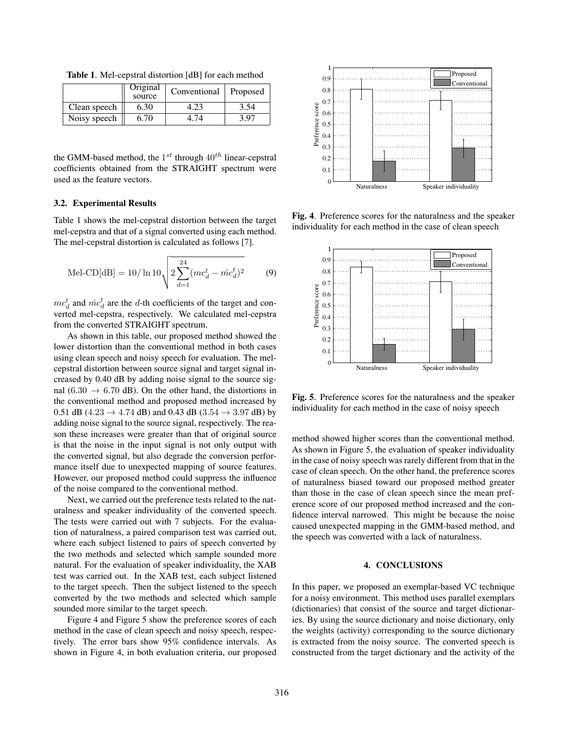**Table 1**. Mel-cepstral distortion [dB] for each method

|              | Original<br>source | Conventional | Proposed |
|--------------|--------------------|--------------|----------|
| Clean speech | 6.30               |              | 3.54     |
| Noisy speech | 6.70               |              | 3 Q7     |

the GMM-based method, the 1 *st* through 40*th* linear-cepstral coefficients obtained from the STRAIGHT spectrum were used as the feature vectors.

## **3.2. Experimental Results**

Table 1 shows the mel-cepstral distortion between the target mel-cepstra and that of a signal converted using each method. The mel-cepstral distortion is calculated as follows [7].

$$
\text{Mel-CD[dB]} = 10/\ln 10 \sqrt{2 \sum_{d=1}^{24} (mc_d^t - \hat{mc}_d^t)^2}
$$
 (9)

 $mc_d^t$  and  $\hat{mc}_d^t$  are the *d*-th coefficients of the target and converted mel-cepstra, respectively. We calculated mel-cepstra from the converted STRAIGHT spectrum.

As shown in this table, our proposed method showed the lower distortion than the conventional method in both cases using clean speech and noisy speech for evaluation. The melcepstral distortion between source signal and target signal increased by 0.40 dB by adding noise signal to the source signal  $(6.30 \rightarrow 6.70$  dB). On the other hand, the distortions in the conventional method and proposed method increased by  $0.51$  dB (4.23  $\rightarrow$  4.74 dB) and 0.43 dB (3.54  $\rightarrow$  3.97 dB) by adding noise signal to the source signal, respectively. The reason these increases were greater than that of original source is that the noise in the input signal is not only output with the converted signal, but also degrade the conversion performance itself due to unexpected mapping of source features. However, our proposed method could suppress the influence of the noise compared to the conventional method.

Next, we carried out the preference tests related to the naturalness and speaker individuality of the converted speech. The tests were carried out with 7 subjects. For the evaluation of naturalness, a paired comparison test was carried out, where each subject listened to pairs of speech converted by the two methods and selected which sample sounded more natural. For the evaluation of speaker individuality, the XAB test was carried out. In the XAB test, each subject listened to the target speech. Then the subject listened to the speech converted by the two methods and selected which sample sounded more similar to the target speech.

Figure 4 and Figure 5 show the preference scores of each method in the case of clean speech and noisy speech, respectively. The error bars show 95% confidence intervals. As shown in Figure 4, in both evaluation criteria, our proposed



**Fig. 4**. Preference scores for the naturalness and the speaker individuality for each method in the case of clean speech



**Fig. 5**. Preference scores for the naturalness and the speaker individuality for each method in the case of noisy speech

method showed higher scores than the conventional method. As shown in Figure 5, the evaluation of speaker individuality in the case of noisy speech was rarely different from that in the case of clean speech. On the other hand, the preference scores of naturalness biased toward our proposed method greater than those in the case of clean speech since the mean preference score of our proposed method increased and the confidence interval narrowed. This might be because the noise caused unexpected mapping in the GMM-based method, and the speech was converted with a lack of naturalness.

#### **4. CONCLUSIONS**

In this paper, we proposed an exemplar-based VC technique for a noisy environment. This method uses parallel exemplars (dictionaries) that consist of the source and target dictionaries. By using the source dictionary and noise dictionary, only the weights (activity) corresponding to the source dictionary is extracted from the noisy source. The converted speech is constructed from the target dictionary and the activity of the